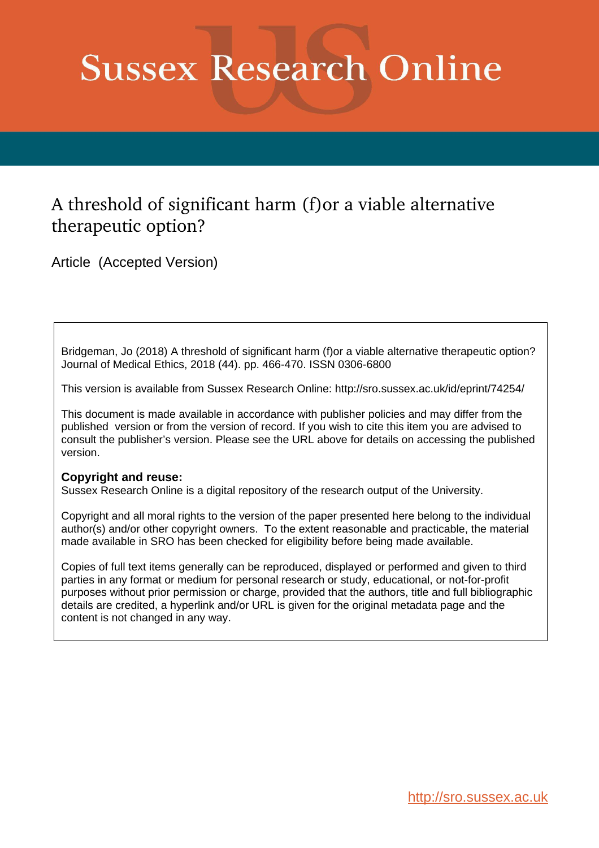# **Sussex Research Online**

# A threshold of significant harm (f)or a viable alternative therapeutic option?

Article (Accepted Version)

Bridgeman, Jo (2018) A threshold of significant harm (f)or a viable alternative therapeutic option? Journal of Medical Ethics, 2018 (44). pp. 466-470. ISSN 0306-6800

This version is available from Sussex Research Online: http://sro.sussex.ac.uk/id/eprint/74254/

This document is made available in accordance with publisher policies and may differ from the published version or from the version of record. If you wish to cite this item you are advised to consult the publisher's version. Please see the URL above for details on accessing the published version.

# **Copyright and reuse:**

Sussex Research Online is a digital repository of the research output of the University.

Copyright and all moral rights to the version of the paper presented here belong to the individual author(s) and/or other copyright owners. To the extent reasonable and practicable, the material made available in SRO has been checked for eligibility before being made available.

Copies of full text items generally can be reproduced, displayed or performed and given to third parties in any format or medium for personal research or study, educational, or not-for-profit purposes without prior permission or charge, provided that the authors, title and full bibliographic details are credited, a hyperlink and/or URL is given for the original metadata page and the content is not changed in any way.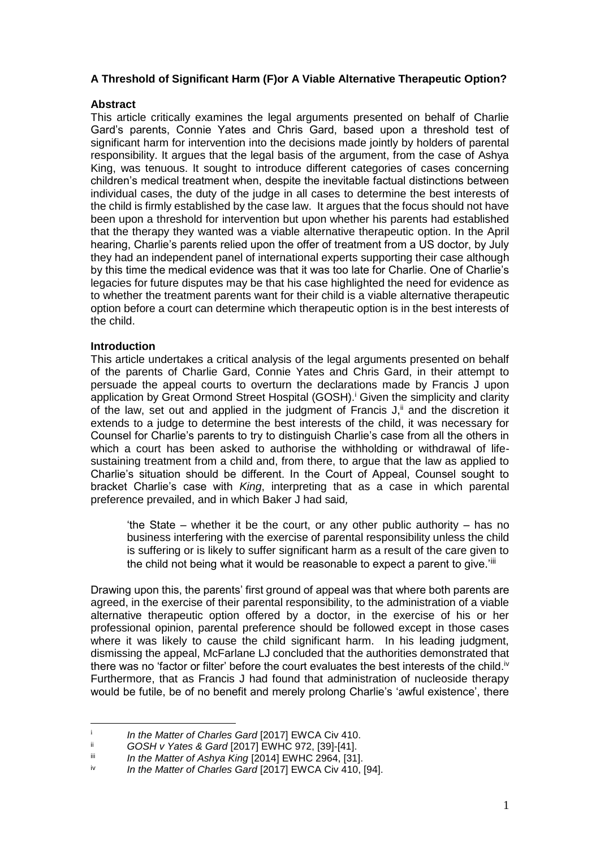### **A Threshold of Significant Harm (F)or A Viable Alternative Therapeutic Option?**

#### **Abstract**

This article critically examines the legal arguments presented on behalf of Charlie Gard's parents, Connie Yates and Chris Gard, based upon a threshold test of significant harm for intervention into the decisions made jointly by holders of parental responsibility. It argues that the legal basis of the argument, from the case of Ashya King, was tenuous. It sought to introduce different categories of cases concerning children's medical treatment when, despite the inevitable factual distinctions between individual cases, the duty of the judge in all cases to determine the best interests of the child is firmly established by the case law. It argues that the focus should not have been upon a threshold for intervention but upon whether his parents had established that the therapy they wanted was a viable alternative therapeutic option. In the April hearing, Charlie's parents relied upon the offer of treatment from a US doctor, by July they had an independent panel of international experts supporting their case although by this time the medical evidence was that it was too late for Charlie. One of Charlie's legacies for future disputes may be that his case highlighted the need for evidence as to whether the treatment parents want for their child is a viable alternative therapeutic option before a court can determine which therapeutic option is in the best interests of the child.

#### **Introduction**

This article undertakes a critical analysis of the legal arguments presented on behalf of the parents of Charlie Gard, Connie Yates and Chris Gard, in their attempt to persuade the appeal courts to overturn the declarations made by Francis J upon application by Great Ormond Street Hospital (GOSH).<sup>i</sup> Given the simplicity and clarity of the law, set out and applied in the judgment of Francis  $J<sub>i</sub>$ <sup> $ii$ </sup> and the discretion it extends to a judge to determine the best interests of the child, it was necessary for Counsel for Charlie's parents to try to distinguish Charlie's case from all the others in which a court has been asked to authorise the withholding or withdrawal of lifesustaining treatment from a child and, from there, to argue that the law as applied to Charlie's situation should be different. In the Court of Appeal, Counsel sought to bracket Charlie's case with *King*, interpreting that as a case in which parental preference prevailed, and in which Baker J had said*,* 

'the State – whether it be the court, or any other public authority – has no business interfering with the exercise of parental responsibility unless the child is suffering or is likely to suffer significant harm as a result of the care given to the child not being what it would be reasonable to expect a parent to give.<sup>'iii</sup>

Drawing upon this, the parents' first ground of appeal was that where both parents are agreed, in the exercise of their parental responsibility, to the administration of a viable alternative therapeutic option offered by a doctor, in the exercise of his or her professional opinion, parental preference should be followed except in those cases where it was likely to cause the child significant harm. In his leading judgment, dismissing the appeal, McFarlane LJ concluded that the authorities demonstrated that there was no 'factor or filter' before the court evaluates the best interests of the child.<sup>iv</sup> Furthermore, that as Francis J had found that administration of nucleoside therapy would be futile, be of no benefit and merely prolong Charlie's 'awful existence', there

 i *In the Matter of Charles Gard* [2017] EWCA Civ 410.

ii *GOSH v Yates & Gard* [2017] EWHC 972, [39]-[41].

iii *In the Matter of Ashya King* [2014] EWHC 2964, [31].

In the Matter of Charles Gard [2017] EWCA Civ 410, [94].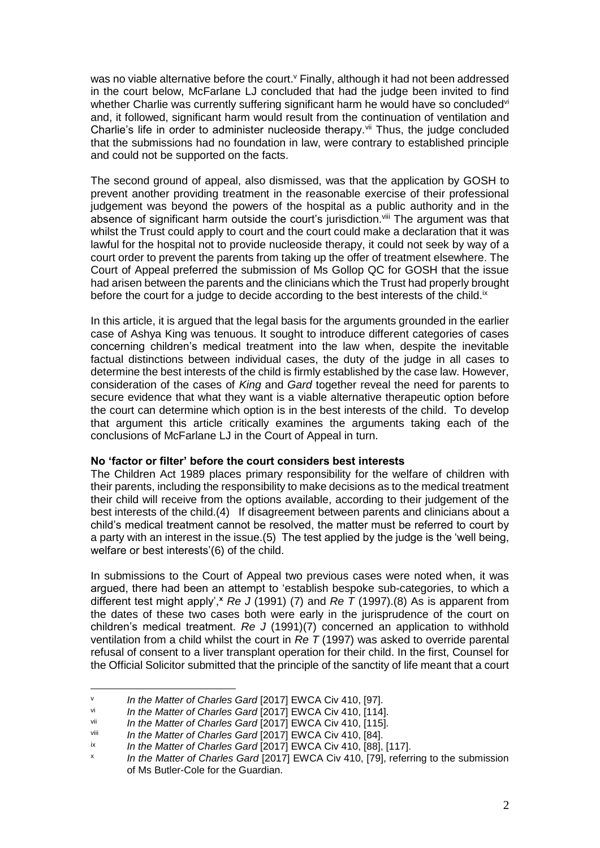was no viable alternative before the court.<sup>v</sup> Finally, although it had not been addressed in the court below, McFarlane LJ concluded that had the judge been invited to find whether Charlie was currently suffering significant harm he would have so concluded<sup>vi</sup> and, it followed, significant harm would result from the continuation of ventilation and Charlie's life in order to administer nucleoside therapy.<sup>vii</sup> Thus, the judge concluded that the submissions had no foundation in law, were contrary to established principle and could not be supported on the facts.

The second ground of appeal, also dismissed, was that the application by GOSH to prevent another providing treatment in the reasonable exercise of their professional judgement was beyond the powers of the hospital as a public authority and in the absence of significant harm outside the court's jurisdiction.<sup>viii</sup> The argument was that whilst the Trust could apply to court and the court could make a declaration that it was lawful for the hospital not to provide nucleoside therapy, it could not seek by way of a court order to prevent the parents from taking up the offer of treatment elsewhere. The Court of Appeal preferred the submission of Ms Gollop QC for GOSH that the issue had arisen between the parents and the clinicians which the Trust had properly brought before the court for a judge to decide according to the best interests of the child.<sup>ix</sup>

In this article, it is argued that the legal basis for the arguments grounded in the earlier case of Ashya King was tenuous. It sought to introduce different categories of cases concerning children's medical treatment into the law when, despite the inevitable factual distinctions between individual cases, the duty of the judge in all cases to determine the best interests of the child is firmly established by the case law. However, consideration of the cases of *King* and *Gard* together reveal the need for parents to secure evidence that what they want is a viable alternative therapeutic option before the court can determine which option is in the best interests of the child. To develop that argument this article critically examines the arguments taking each of the conclusions of McFarlane LJ in the Court of Appeal in turn.

#### **No 'factor or filter' before the court considers best interests**

The Children Act 1989 places primary responsibility for the welfare of children with their parents, including the responsibility to make decisions as to the medical treatment their child will receive from the options available, according to their judgement of the best interests of the child.(4) If disagreement between parents and clinicians about a child's medical treatment cannot be resolved, the matter must be referred to court by a party with an interest in the issue.(5) The test applied by the judge is the 'well being, welfare or best interests'(6) of the child.

In submissions to the Court of Appeal two previous cases were noted when, it was argued, there had been an attempt to 'establish bespoke sub-categories, to which a different test might apply',**<sup>x</sup>** *Re J* (1991) (7) and *Re T* (1997).(8) As is apparent from the dates of these two cases both were early in the jurisprudence of the court on children's medical treatment. *Re J* (1991)(7) concerned an application to withhold ventilation from a child whilst the court in *Re T* (1997) was asked to override parental refusal of consent to a liver transplant operation for their child. In the first, Counsel for the Official Solicitor submitted that the principle of the sanctity of life meant that a court

1

v *In the Matter of Charles Gard* [2017] EWCA Civ 410, [97].

vi *In the Matter of Charles Gard* [2017] EWCA Civ 410, [114].

vii *In the Matter of Charles Gard* [2017] EWCA Civ 410, [115].

viii *In the Matter of Charles Gard* [2017] EWCA Civ 410, [84].

In the Matter of Charles Gard [2017] EWCA Civ 410, [88], [117].

x *In the Matter of Charles Gard* [2017] EWCA Civ 410, [79], referring to the submission of Ms Butler-Cole for the Guardian.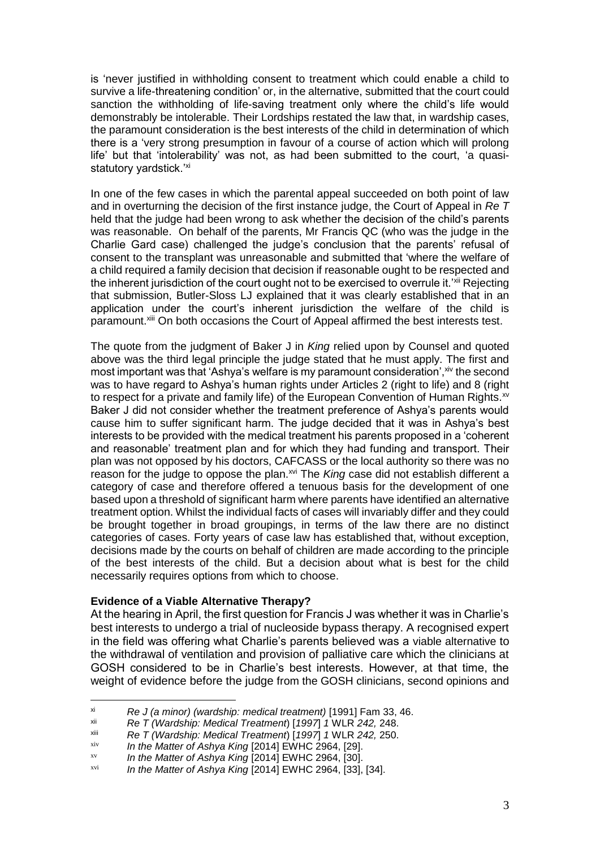is 'never justified in withholding consent to treatment which could enable a child to survive a life-threatening condition' or, in the alternative, submitted that the court could sanction the withholding of life-saving treatment only where the child's life would demonstrably be intolerable. Their Lordships restated the law that, in wardship cases, the paramount consideration is the best interests of the child in determination of which there is a 'very strong presumption in favour of a course of action which will prolong life' but that 'intolerability' was not, as had been submitted to the court, 'a quasistatutory yardstick.'<sup>xi</sup>

In one of the few cases in which the parental appeal succeeded on both point of law and in overturning the decision of the first instance judge, the Court of Appeal in *Re T* held that the judge had been wrong to ask whether the decision of the child's parents was reasonable. On behalf of the parents, Mr Francis QC (who was the judge in the Charlie Gard case) challenged the judge's conclusion that the parents' refusal of consent to the transplant was unreasonable and submitted that 'where the welfare of a child required a family decision that decision if reasonable ought to be respected and the inherent jurisdiction of the court ought not to be exercised to overrule it.<sup>'xii</sup> Rejecting that submission, Butler-Sloss LJ explained that it was clearly established that in an application under the court's inherent jurisdiction the welfare of the child is paramount.<sup>xiii</sup> On both occasions the Court of Appeal affirmed the best interests test.

The quote from the judgment of Baker J in *King* relied upon by Counsel and quoted above was the third legal principle the judge stated that he must apply. The first and most important was that 'Ashya's welfare is my paramount consideration', xiv the second was to have regard to Ashya's human rights under Articles 2 (right to life) and 8 (right to respect for a private and family life) of the European Convention of Human Rights. $x<sup>w</sup>$ Baker J did not consider whether the treatment preference of Ashya's parents would cause him to suffer significant harm. The judge decided that it was in Ashya's best interests to be provided with the medical treatment his parents proposed in a 'coherent and reasonable' treatment plan and for which they had funding and transport. Their plan was not opposed by his doctors, CAFCASS or the local authority so there was no reason for the judge to oppose the plan.<sup>xvi</sup> The *King* case did not establish different a category of case and therefore offered a tenuous basis for the development of one based upon a threshold of significant harm where parents have identified an alternative treatment option. Whilst the individual facts of cases will invariably differ and they could be brought together in broad groupings, in terms of the law there are no distinct categories of cases. Forty years of case law has established that, without exception, decisions made by the courts on behalf of children are made according to the principle of the best interests of the child. But a decision about what is best for the child necessarily requires options from which to choose.

#### **Evidence of a Viable Alternative Therapy?**

1

At the hearing in April, the first question for Francis J was whether it was in Charlie's best interests to undergo a trial of nucleoside bypass therapy. A recognised expert in the field was offering what Charlie's parents believed was a viable alternative to the withdrawal of ventilation and provision of palliative care which the clinicians at GOSH considered to be in Charlie's best interests. However, at that time, the weight of evidence before the judge from the GOSH clinicians, second opinions and

xi *Re J (a minor) (wardship: medical treatment)* [1991] Fam 33, 46.

xii *Re T (Wardship: Medical Treatment*) [*1997*] *1* WLR *242,* 248.

xiii *Re T (Wardship: Medical Treatment*) [*1997*] *1* WLR *242,* 250.

In the Matter of Ashya King [2014] EWHC 2964, [29].

xv *In the Matter of Ashya King* [2014] EWHC 2964, [30].

xvi *In the Matter of Ashya King* [2014] EWHC 2964, [33], [34].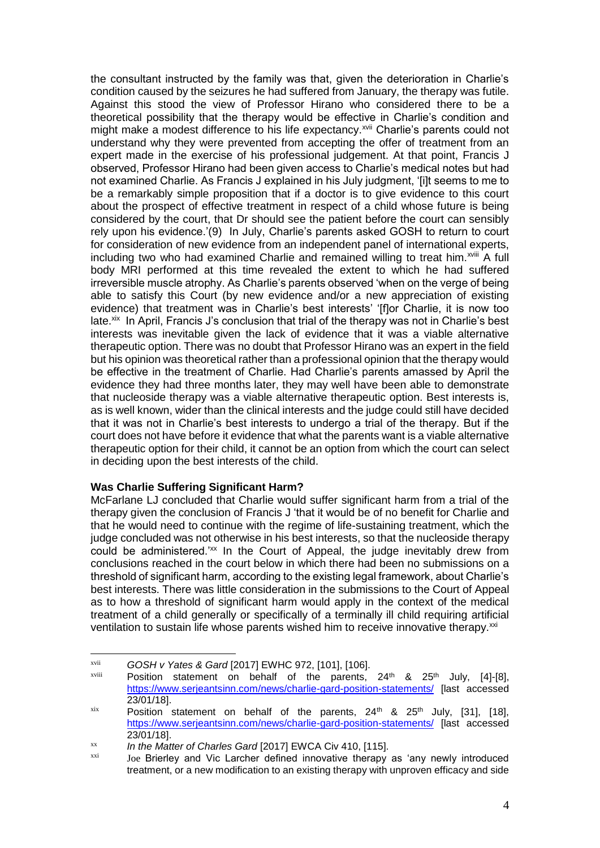the consultant instructed by the family was that, given the deterioration in Charlie's condition caused by the seizures he had suffered from January, the therapy was futile. Against this stood the view of Professor Hirano who considered there to be a theoretical possibility that the therapy would be effective in Charlie's condition and might make a modest difference to his life expectancy.<sup>xvii</sup> Charlie's parents could not understand why they were prevented from accepting the offer of treatment from an expert made in the exercise of his professional judgement. At that point, Francis J observed, Professor Hirano had been given access to Charlie's medical notes but had not examined Charlie. As Francis J explained in his July judgment, '[i]t seems to me to be a remarkably simple proposition that if a doctor is to give evidence to this court about the prospect of effective treatment in respect of a child whose future is being considered by the court, that Dr should see the patient before the court can sensibly rely upon his evidence.'(9) In July, Charlie's parents asked GOSH to return to court for consideration of new evidence from an independent panel of international experts, including two who had examined Charlie and remained willing to treat him.<sup>xviii</sup> A full body MRI performed at this time revealed the extent to which he had suffered irreversible muscle atrophy. As Charlie's parents observed 'when on the verge of being able to satisfy this Court (by new evidence and/or a new appreciation of existing evidence) that treatment was in Charlie's best interests' '[f]or Charlie, it is now too late.<sup>xix</sup> In April, Francis J's conclusion that trial of the therapy was not in Charlie's best interests was inevitable given the lack of evidence that it was a viable alternative therapeutic option. There was no doubt that Professor Hirano was an expert in the field but his opinion was theoretical rather than a professional opinion that the therapy would be effective in the treatment of Charlie. Had Charlie's parents amassed by April the evidence they had three months later, they may well have been able to demonstrate that nucleoside therapy was a viable alternative therapeutic option. Best interests is, as is well known, wider than the clinical interests and the judge could still have decided that it was not in Charlie's best interests to undergo a trial of the therapy. But if the court does not have before it evidence that what the parents want is a viable alternative therapeutic option for their child, it cannot be an option from which the court can select in deciding upon the best interests of the child.

#### **Was Charlie Suffering Significant Harm?**

1

McFarlane LJ concluded that Charlie would suffer significant harm from a trial of the therapy given the conclusion of Francis J 'that it would be of no benefit for Charlie and that he would need to continue with the regime of life-sustaining treatment, which the judge concluded was not otherwise in his best interests, so that the nucleoside therapy could be administered.<sup> $x$ x</sup> In the Court of Appeal, the judge inevitably drew from conclusions reached in the court below in which there had been no submissions on a threshold of significant harm, according to the existing legal framework, about Charlie's best interests. There was little consideration in the submissions to the Court of Appeal as to how a threshold of significant harm would apply in the context of the medical treatment of a child generally or specifically of a terminally ill child requiring artificial ventilation to sustain life whose parents wished him to receive innovative therapy.<sup>xxi</sup>

xvii *GOSH v Yates & Gard* [2017] EWHC 972, [101], [106].

Position statement on behalf of the parents, 24<sup>th</sup> & 25<sup>th</sup> July, [4]-[8], <https://www.serjeantsinn.com/news/charlie-gard-position-statements/> [last accessed 23/01/18].

 $x$ <sup>ix</sup> Position statement on behalf of the parents, 24<sup>th</sup> & 25<sup>th</sup> July, [31], [18], <https://www.serjeantsinn.com/news/charlie-gard-position-statements/> [last accessed 23/01/18].

xx *In the Matter of Charles Gard* [2017] EWCA Civ 410, [115].

xxi Joe Brierley and Vic Larcher defined innovative therapy as 'any newly introduced treatment, or a new modification to an existing therapy with unproven efficacy and side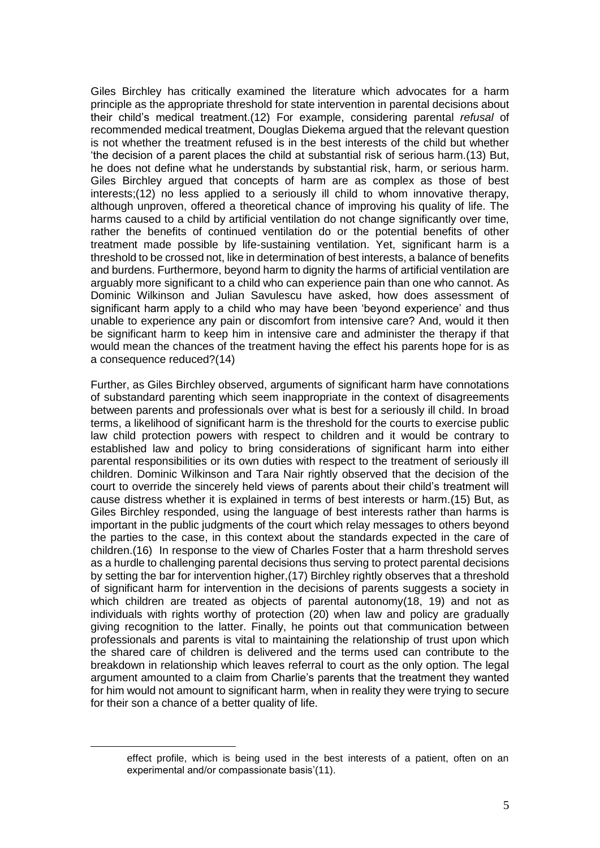Giles Birchley has critically examined the literature which advocates for a harm principle as the appropriate threshold for state intervention in parental decisions about their child's medical treatment.(12) For example, considering parental *refusal* of recommended medical treatment, Douglas Diekema argued that the relevant question is not whether the treatment refused is in the best interests of the child but whether 'the decision of a parent places the child at substantial risk of serious harm.(13) But, he does not define what he understands by substantial risk, harm, or serious harm. Giles Birchley argued that concepts of harm are as complex as those of best interests;(12) no less applied to a seriously ill child to whom innovative therapy, although unproven, offered a theoretical chance of improving his quality of life. The harms caused to a child by artificial ventilation do not change significantly over time, rather the benefits of continued ventilation do or the potential benefits of other treatment made possible by life-sustaining ventilation. Yet, significant harm is a threshold to be crossed not, like in determination of best interests, a balance of benefits and burdens. Furthermore, beyond harm to dignity the harms of artificial ventilation are arguably more significant to a child who can experience pain than one who cannot. As Dominic Wilkinson and Julian Savulescu have asked, how does assessment of significant harm apply to a child who may have been 'beyond experience' and thus unable to experience any pain or discomfort from intensive care? And, would it then be significant harm to keep him in intensive care and administer the therapy if that would mean the chances of the treatment having the effect his parents hope for is as a consequence reduced?(14)

Further, as Giles Birchley observed, arguments of significant harm have connotations of substandard parenting which seem inappropriate in the context of disagreements between parents and professionals over what is best for a seriously ill child. In broad terms, a likelihood of significant harm is the threshold for the courts to exercise public law child protection powers with respect to children and it would be contrary to established law and policy to bring considerations of significant harm into either parental responsibilities or its own duties with respect to the treatment of seriously ill children. Dominic Wilkinson and Tara Nair rightly observed that the decision of the court to override the sincerely held views of parents about their child's treatment will cause distress whether it is explained in terms of best interests or harm.(15) But, as Giles Birchley responded, using the language of best interests rather than harms is important in the public judgments of the court which relay messages to others beyond the parties to the case, in this context about the standards expected in the care of children.(16) In response to the view of Charles Foster that a harm threshold serves as a hurdle to challenging parental decisions thus serving to protect parental decisions by setting the bar for intervention higher,(17) Birchley rightly observes that a threshold of significant harm for intervention in the decisions of parents suggests a society in which children are treated as objects of parental autonomy(18, 19) and not as individuals with rights worthy of protection (20) when law and policy are gradually giving recognition to the latter. Finally, he points out that communication between professionals and parents is vital to maintaining the relationship of trust upon which the shared care of children is delivered and the terms used can contribute to the breakdown in relationship which leaves referral to court as the only option. The legal argument amounted to a claim from Charlie's parents that the treatment they wanted for him would not amount to significant harm, when in reality they were trying to secure for their son a chance of a better quality of life.

1

effect profile, which is being used in the best interests of a patient, often on an experimental and/or compassionate basis'(11).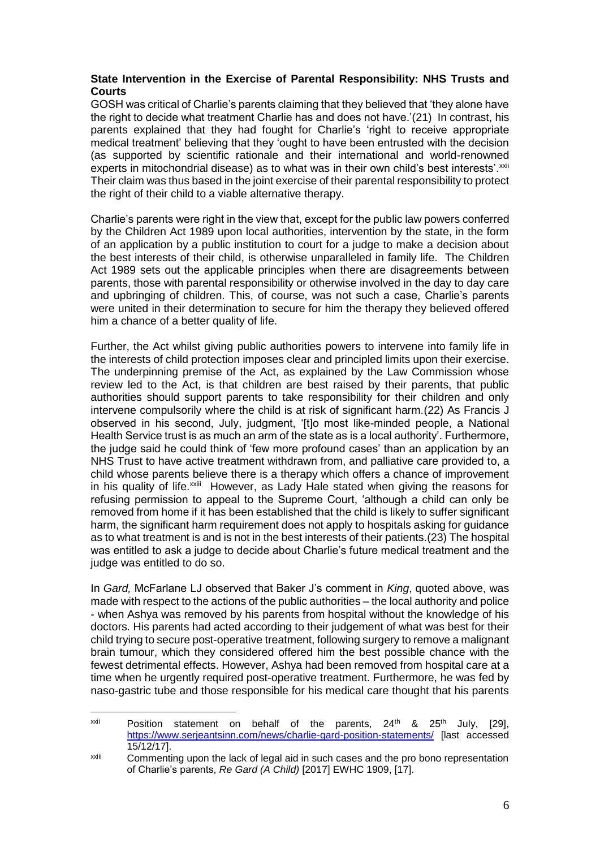#### **State Intervention in the Exercise of Parental Responsibility: NHS Trusts and Courts**

GOSH was critical of Charlie's parents claiming that they believed that 'they alone have the right to decide what treatment Charlie has and does not have.'(21) In contrast, his parents explained that they had fought for Charlie's 'right to receive appropriate medical treatment' believing that they 'ought to have been entrusted with the decision (as supported by scientific rationale and their international and world-renowned experts in mitochondrial disease) as to what was in their own child's best interests'.<sup>xxii</sup> Their claim was thus based in the joint exercise of their parental responsibility to protect the right of their child to a viable alternative therapy.

Charlie's parents were right in the view that, except for the public law powers conferred by the Children Act 1989 upon local authorities, intervention by the state, in the form of an application by a public institution to court for a judge to make a decision about the best interests of their child, is otherwise unparalleled in family life. The Children Act 1989 sets out the applicable principles when there are disagreements between parents, those with parental responsibility or otherwise involved in the day to day care and upbringing of children. This, of course, was not such a case, Charlie's parents were united in their determination to secure for him the therapy they believed offered him a chance of a better quality of life.

Further, the Act whilst giving public authorities powers to intervene into family life in the interests of child protection imposes clear and principled limits upon their exercise. The underpinning premise of the Act, as explained by the Law Commission whose review led to the Act, is that children are best raised by their parents, that public authorities should support parents to take responsibility for their children and only intervene compulsorily where the child is at risk of significant harm.(22) As Francis J observed in his second, July, judgment, '[t]o most like-minded people, a National Health Service trust is as much an arm of the state as is a local authority'. Furthermore, the judge said he could think of 'few more profound cases' than an application by an NHS Trust to have active treatment withdrawn from, and palliative care provided to, a child whose parents believe there is a therapy which offers a chance of improvement in his quality of life.<sup>xxiii</sup> However, as Lady Hale stated when giving the reasons for refusing permission to appeal to the Supreme Court, 'although a child can only be removed from home if it has been established that the child is likely to suffer significant harm, the significant harm requirement does not apply to hospitals asking for guidance as to what treatment is and is not in the best interests of their patients.(23) The hospital was entitled to ask a judge to decide about Charlie's future medical treatment and the judge was entitled to do so.

In *Gard,* McFarlane LJ observed that Baker J's comment in *King*, quoted above, was made with respect to the actions of the public authorities – the local authority and police - when Ashya was removed by his parents from hospital without the knowledge of his doctors. His parents had acted according to their judgement of what was best for their child trying to secure post-operative treatment, following surgery to remove a malignant brain tumour, which they considered offered him the best possible chance with the fewest detrimental effects. However, Ashya had been removed from hospital care at a time when he urgently required post-operative treatment. Furthermore, he was fed by naso-gastric tube and those responsible for his medical care thought that his parents

xxii Position statement on behalf of the parents,  $24<sup>th</sup>$  &  $25<sup>th</sup>$  July, [29], <https://www.serjeantsinn.com/news/charlie-gard-position-statements/> [last accessed 15/12/17].

xxiii Commenting upon the lack of legal aid in such cases and the pro bono representation of Charlie's parents, *Re Gard (A Child)* [2017] EWHC 1909, [17].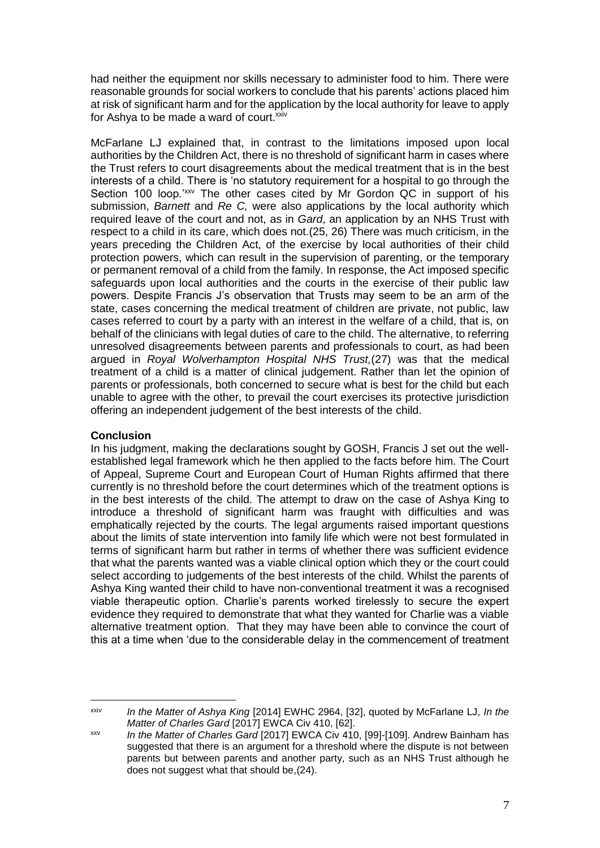had neither the equipment nor skills necessary to administer food to him. There were reasonable grounds for social workers to conclude that his parents' actions placed him at risk of significant harm and for the application by the local authority for leave to apply for Ashya to be made a ward of court.<sup>xxiv</sup>

McFarlane LJ explained that, in contrast to the limitations imposed upon local authorities by the Children Act, there is no threshold of significant harm in cases where the Trust refers to court disagreements about the medical treatment that is in the best interests of a child. There is 'no statutory requirement for a hospital to go through the Section 100 loop.<sup>'xxv</sup> The other cases cited by Mr Gordon QC in support of his submission, *Barnett* and *Re C,* were also applications by the local authority which required leave of the court and not, as in *Gard*, an application by an NHS Trust with respect to a child in its care, which does not.(25, 26) There was much criticism, in the years preceding the Children Act, of the exercise by local authorities of their child protection powers, which can result in the supervision of parenting, or the temporary or permanent removal of a child from the family. In response, the Act imposed specific safeguards upon local authorities and the courts in the exercise of their public law powers. Despite Francis J's observation that Trusts may seem to be an arm of the state, cases concerning the medical treatment of children are private, not public, law cases referred to court by a party with an interest in the welfare of a child, that is, on behalf of the clinicians with legal duties of care to the child. The alternative, to referring unresolved disagreements between parents and professionals to court, as had been argued in *Royal Wolverhampton Hospital NHS Trust,*(27) was that the medical treatment of a child is a matter of clinical judgement. Rather than let the opinion of parents or professionals, both concerned to secure what is best for the child but each unable to agree with the other, to prevail the court exercises its protective jurisdiction offering an independent judgement of the best interests of the child.

# **Conclusion**

In his judgment, making the declarations sought by GOSH, Francis J set out the wellestablished legal framework which he then applied to the facts before him. The Court of Appeal, Supreme Court and European Court of Human Rights affirmed that there currently is no threshold before the court determines which of the treatment options is in the best interests of the child. The attempt to draw on the case of Ashya King to introduce a threshold of significant harm was fraught with difficulties and was emphatically rejected by the courts. The legal arguments raised important questions about the limits of state intervention into family life which were not best formulated in terms of significant harm but rather in terms of whether there was sufficient evidence that what the parents wanted was a viable clinical option which they or the court could select according to judgements of the best interests of the child. Whilst the parents of Ashya King wanted their child to have non-conventional treatment it was a recognised viable therapeutic option. Charlie's parents worked tirelessly to secure the expert evidence they required to demonstrate that what they wanted for Charlie was a viable alternative treatment option. That they may have been able to convince the court of this at a time when 'due to the considerable delay in the commencement of treatment

<sup>1</sup> xxiv *In the Matter of Ashya King* [2014] EWHC 2964, [32], quoted by McFarlane LJ, *In the Matter of Charles Gard* [2017] EWCA Civ 410, [62].

xxv *In the Matter of Charles Gard* [2017] EWCA Civ 410, [99]-[109]. Andrew Bainham has suggested that there is an argument for a threshold where the dispute is not between parents but between parents and another party, such as an NHS Trust although he does not suggest what that should be,(24).